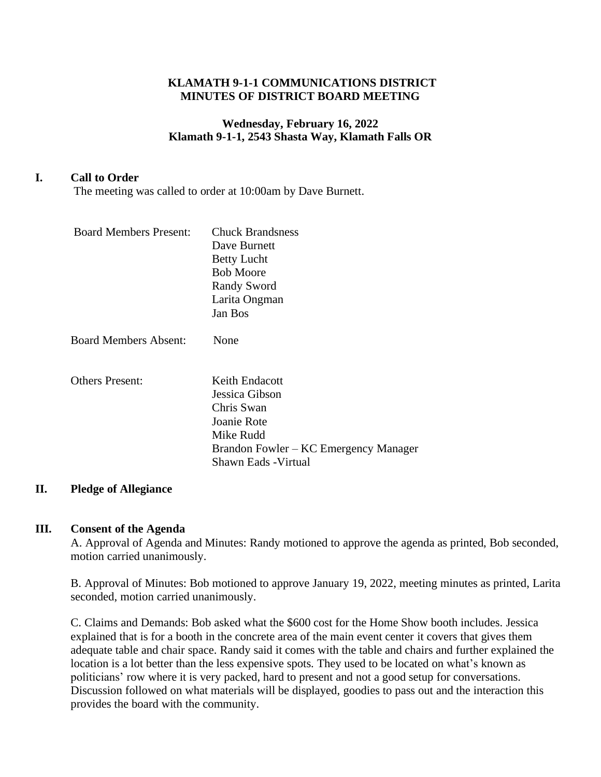#### **KLAMATH 9-1-1 COMMUNICATIONS DISTRICT MINUTES OF DISTRICT BOARD MEETING**

## **Wednesday, February 16, 2022 Klamath 9-1-1, 2543 Shasta Way, Klamath Falls OR**

## **I. Call to Order**

The meeting was called to order at 10:00am by Dave Burnett.

| <b>Board Members Present:</b> | <b>Chuck Brandsness</b><br>Dave Burnett<br><b>Betty Lucht</b><br><b>Bob Moore</b><br><b>Randy Sword</b><br>Larita Ongman<br>Jan Bos         |
|-------------------------------|---------------------------------------------------------------------------------------------------------------------------------------------|
| <b>Board Members Absent:</b>  | None                                                                                                                                        |
| <b>Others Present:</b>        | Keith Endacott<br>Jessica Gibson<br>Chris Swan<br>Joanie Rote<br>Mike Rudd<br>Brandon Fowler – KC Emergency Manager<br>Shawn Eads - Virtual |

#### **II. Pledge of Allegiance**

#### **III. Consent of the Agenda**

A. Approval of Agenda and Minutes: Randy motioned to approve the agenda as printed, Bob seconded, motion carried unanimously.

B. Approval of Minutes: Bob motioned to approve January 19, 2022, meeting minutes as printed, Larita seconded, motion carried unanimously.

C. Claims and Demands: Bob asked what the \$600 cost for the Home Show booth includes. Jessica explained that is for a booth in the concrete area of the main event center it covers that gives them adequate table and chair space. Randy said it comes with the table and chairs and further explained the location is a lot better than the less expensive spots. They used to be located on what's known as politicians' row where it is very packed, hard to present and not a good setup for conversations. Discussion followed on what materials will be displayed, goodies to pass out and the interaction this provides the board with the community.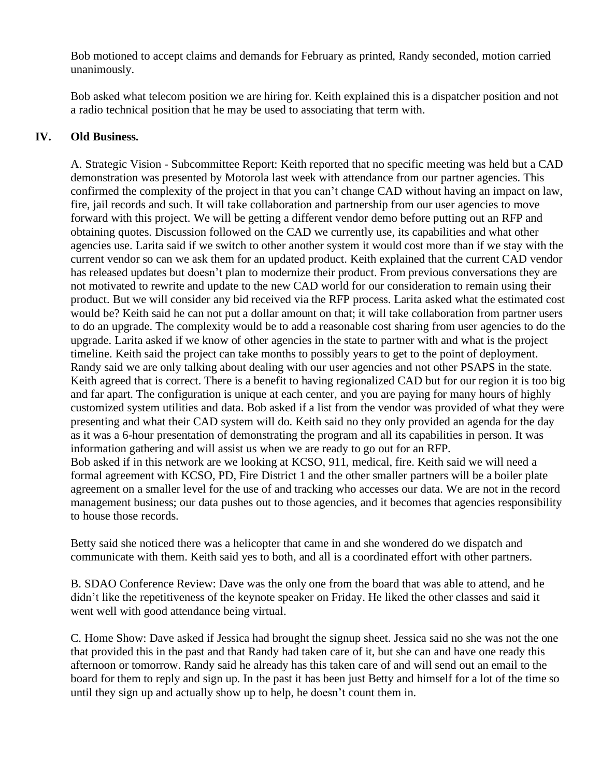Bob motioned to accept claims and demands for February as printed, Randy seconded, motion carried unanimously.

Bob asked what telecom position we are hiring for. Keith explained this is a dispatcher position and not a radio technical position that he may be used to associating that term with.

### **IV. Old Business.**

A. Strategic Vision - Subcommittee Report: Keith reported that no specific meeting was held but a CAD demonstration was presented by Motorola last week with attendance from our partner agencies. This confirmed the complexity of the project in that you can't change CAD without having an impact on law, fire, jail records and such. It will take collaboration and partnership from our user agencies to move forward with this project. We will be getting a different vendor demo before putting out an RFP and obtaining quotes. Discussion followed on the CAD we currently use, its capabilities and what other agencies use. Larita said if we switch to other another system it would cost more than if we stay with the current vendor so can we ask them for an updated product. Keith explained that the current CAD vendor has released updates but doesn't plan to modernize their product. From previous conversations they are not motivated to rewrite and update to the new CAD world for our consideration to remain using their product. But we will consider any bid received via the RFP process. Larita asked what the estimated cost would be? Keith said he can not put a dollar amount on that; it will take collaboration from partner users to do an upgrade. The complexity would be to add a reasonable cost sharing from user agencies to do the upgrade. Larita asked if we know of other agencies in the state to partner with and what is the project timeline. Keith said the project can take months to possibly years to get to the point of deployment. Randy said we are only talking about dealing with our user agencies and not other PSAPS in the state. Keith agreed that is correct. There is a benefit to having regionalized CAD but for our region it is too big and far apart. The configuration is unique at each center, and you are paying for many hours of highly customized system utilities and data. Bob asked if a list from the vendor was provided of what they were presenting and what their CAD system will do. Keith said no they only provided an agenda for the day as it was a 6-hour presentation of demonstrating the program and all its capabilities in person. It was information gathering and will assist us when we are ready to go out for an RFP. Bob asked if in this network are we looking at KCSO, 911, medical, fire. Keith said we will need a formal agreement with KCSO, PD, Fire District 1 and the other smaller partners will be a boiler plate agreement on a smaller level for the use of and tracking who accesses our data. We are not in the record management business; our data pushes out to those agencies, and it becomes that agencies responsibility to house those records.

Betty said she noticed there was a helicopter that came in and she wondered do we dispatch and communicate with them. Keith said yes to both, and all is a coordinated effort with other partners.

B. SDAO Conference Review: Dave was the only one from the board that was able to attend, and he didn't like the repetitiveness of the keynote speaker on Friday. He liked the other classes and said it went well with good attendance being virtual.

C. Home Show: Dave asked if Jessica had brought the signup sheet. Jessica said no she was not the one that provided this in the past and that Randy had taken care of it, but she can and have one ready this afternoon or tomorrow. Randy said he already has this taken care of and will send out an email to the board for them to reply and sign up. In the past it has been just Betty and himself for a lot of the time so until they sign up and actually show up to help, he doesn't count them in.